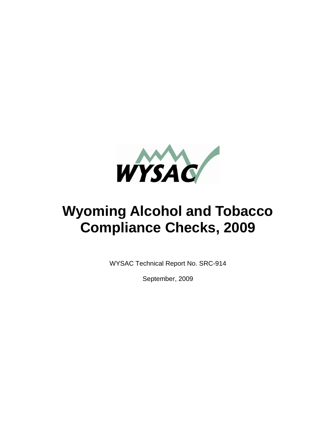

# **Wyoming Alcohol and Tobacco Compliance Checks, 2009**

WYSAC Technical Report No. SRC-914

September, 2009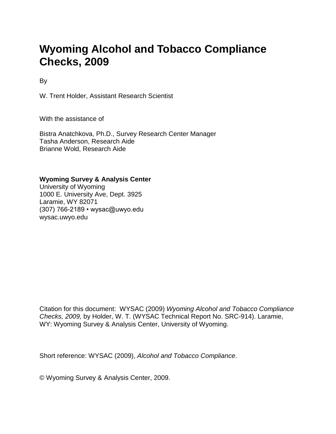## **Wyoming Alcohol and Tobacco Compliance Checks, 2009**

By

W. Trent Holder, Assistant Research Scientist

With the assistance of

Bistra Anatchkova, Ph.D., Survey Research Center Manager Tasha Anderson, Research Aide Brianne Wold, Research Aide

**Wyoming Survey & Analysis Center**

University of Wyoming 1000 E. University Ave, Dept. 3925 Laramie, WY 82071 (307) 766-2189 • wysac@uwyo.edu wysac.uwyo.edu

Citation for this document: WYSAC (2009) *Wyoming Alcohol and Tobacco Compliance Checks, 2009,* by Holder, W. T. (WYSAC Technical Report No. SRC-914). Laramie, WY: Wyoming Survey & Analysis Center, University of Wyoming.

Short reference: WYSAC (2009), *Alcohol and Tobacco Compliance*.

© Wyoming Survey & Analysis Center, 2009.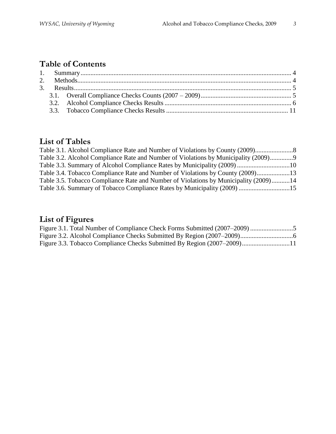## **Table of Contents**

## **List of Tables**

| Table 3.1. Alcohol Compliance Rate and Number of Violations by County (2009)         |  |
|--------------------------------------------------------------------------------------|--|
| Table 3.2. Alcohol Compliance Rate and Number of Violations by Municipality (2009)9  |  |
|                                                                                      |  |
| Table 3.4. Tobacco Compliance Rate and Number of Violations by County (2009)13       |  |
| Table 3.5. Tobacco Compliance Rate and Number of Violations by Municipality (2009)14 |  |
| Table 3.6. Summary of Tobacco Compliance Rates by Municipality (2009) 15             |  |
|                                                                                      |  |

## **List of Figures**

| Figure 3.3. Tobacco Compliance Checks Submitted By Region (2007–2009)11 |  |
|-------------------------------------------------------------------------|--|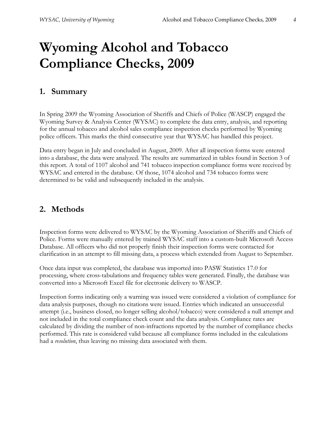# **Wyoming Alcohol and Tobacco Compliance Checks, 2009**

### **1. Summary**

In Spring 2009 the Wyoming Association of Sheriffs and Chiefs of Police (WASCP) engaged the Wyoming Survey & Analysis Center (WYSAC) to complete the data entry, analysis, and reporting for the annual tobacco and alcohol sales compliance inspection checks performed by Wyoming police officers. This marks the third consecutive year that WYSAC has handled this project.

Data entry began in July and concluded in August, 2009. After all inspection forms were entered into a database, the data were analyzed. The results are summarized in tables found in Section 3 of this report. A total of 1107 alcohol and 741 tobacco inspection compliance forms were received by WYSAC and entered in the database. Of those, 1074 alcohol and 734 tobacco forms were determined to be valid and subsequently included in the analysis.

### **2. Methods**

Inspection forms were delivered to WYSAC by the Wyoming Association of Sheriffs and Chiefs of Police. Forms were manually entered by trained WYSAC staff into a custom-built Microsoft Access Database. All officers who did not properly finish their inspection forms were contacted for clarification in an attempt to fill missing data, a process which extended from August to September.

Once data input was completed, the database was imported into PASW Statistics 17.0 for processing, where cross-tabulations and frequency tables were generated. Finally, the database was converted into a Microsoft Excel file for electronic delivery to WASCP.

Inspection forms indicating only a warning was issued were considered a violation of compliance for data analysis purposes, though no citations were issued. Entries which indicated an unsuccessful attempt (i.e., business closed, no longer selling alcohol/tobacco) were considered a null attempt and not included in the total compliance check count and the data analysis. Compliance rates are calculated by dividing the number of non-infractions reported by the number of compliance checks performed. This rate is considered valid because all compliance forms included in the calculations had a *resolution*, thus leaving no missing data associated with them.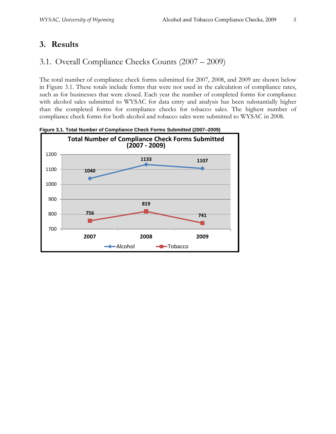## **3. Results**

## 3.1. Overall Compliance Checks Counts (2007 – 2009)

The total number of compliance check forms submitted for 2007, 2008, and 2009 are shown below in Figure 3.1. These totals include forms that were not used in the calculation of compliance rates, such as for businesses that were closed. Each year the number of completed forms for compliance with alcohol sales submitted to WYSAC for data entry and analysis has been substantially higher than the completed forms for compliance checks for tobacco sales. The highest number of compliance check forms for both alcohol and tobacco sales were submitted to WYSAC in 2008.



**Figure 3.1. Total Number of Compliance Check Forms Submitted (2007–2009)**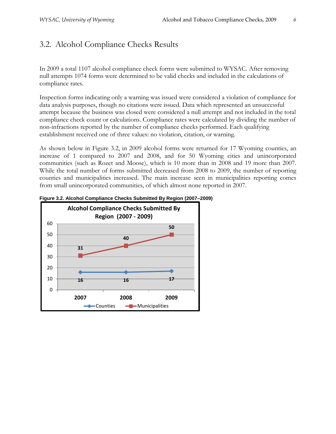## 3.2. Alcohol Compliance Checks Results

In 2009 a total 1107 alcohol compliance check forms were submitted to WYSAC. After removing null attempts 1074 forms were determined to be valid checks and included in the calculations of compliance rates.

Inspection forms indicating only a warning was issued were considered a violation of compliance for data analysis purposes, though no citations were issued. Data which represented an unsuccessful attempt because the business was closed were considered a null attempt and not included in the total compliance check count or calculations. Compliance rates were calculated by dividing the number of non-infractions reported by the number of compliance checks performed. Each qualifying establishment received one of three values: no violation, citation, or warning.

As shown below in Figure 3.2, in 2009 alcohol forms were returned for 17 Wyoming counties, an increase of 1 compared to 2007 and 2008, and for 50 Wyoming cities and unincorporated communities (such as Rozet and Moose), which is 10 more than in 2008 and 19 more than 2007. While the total number of forms submitted decreased from 2008 to 2009, the number of reporting counties and municipalities increased. The main increase seen in municipalities reporting comes from small unincorporated communities, of which almost none reported in 2007.



**Figure 3.2. Alcohol Compliance Checks Submitted By Region (2007–2009)**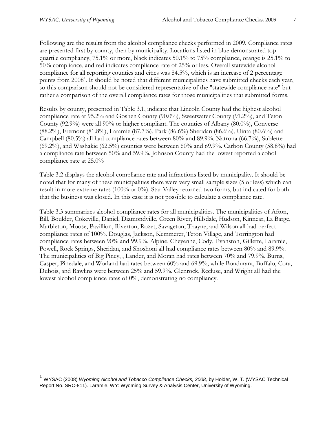$\overline{a}$ 

Following are the results from the alcohol compliance checks performed in 2009. Compliance rates are presented first by county, then by municipality. Locations listed in blue demonstrated top quartile compliancy, 75.1% or more, black indicates 50.1% to 75% compliance, orange is 25.1% to 50% compliance, and red indicates compliance rate of 25% or less. Overall statewide alcohol compliance for all reporting counties and cities was 84.5%, which is an increase of 2 percentage points from 2008<sup>1</sup>. It should be noted that different municipalities have submitted checks each year, so this comparison should not be considered representative of the "statewide compliance rate" but rather a comparison of the overall compliance rates for those municipalities that submitted forms.

Results by county, presented in Table 3.1, indicate that Lincoln County had the highest alcohol compliance rate at 95.2% and Goshen County (90.0%), Sweetwater County (91.2%), and Teton County (92.9%) were all 90% or higher compliant. The counties of Albany (80.0%), Converse (88.2%), Fremont (81.8%), Laramie (87.7%), Park (86.6%) Sheridan (86.6%), Uinta (80.6%) and Campbell (80.5%) all had compliance rates between 80% and 89.9%. Natrona (66.7%), Sublette (69.2%), and Washakie (62.5%) counties were between 60% and 69.9%. Carbon County (58.8%) had a compliance rate between 50% and 59.9%. Johnson County had the lowest reported alcohol compliance rate at 25.0%

Table 3.2 displays the alcohol compliance rate and infractions listed by municipality. It should be noted that for many of these municipalities there were very small sample sizes (5 or less) which can result in more extreme rates (100% or 0%). Star Valley returned two forms, but indicated for both that the business was closed. In this case it is not possible to calculate a compliance rate.

Table 3.3 summarizes alcohol compliance rates for all municipalities. The municipalities of Afton, Bill, Boulder, Cokeville, Daniel, Diamondville, Green River, Hillsdale, Hudson, Kinnear, La Barge, Marbleton, Moose, Pavillion, Riverton, Rozet, Savageton, Thayne, and Wilson all had perfect compliance rates of 100%. Douglas, Jackson, Kemmerer, Teton Village, and Torrington had compliance rates between 90% and 99.9%. Alpine, Cheyenne, Cody, Evanston, Gillette, Laramie, Powell, Rock Springs, Sheridan, and Shoshoni all had compliance rates between 80% and 89.9%. The municipalities of Big Piney, , Lander, and Moran had rates between 70% and 79.9%. Burns, Casper, Pinedale, and Worland had rates between 60% and 69.9%, while Bondurant, Buffalo, Cora, Dubois, and Rawlins were between 25% and 59.9%. Glenrock, Recluse, and Wright all had the lowest alcohol compliance rates of 0%, demonstrating no compliancy.

<sup>&</sup>lt;sup>1</sup> WYSAC (2008) *Wyoming Alcohol and Tobacco Compliance Checks, 2008,* by Holder, W. T. (WYSAC Technical Report No. SRC-811). Laramie, WY: Wyoming Survey & Analysis Center, University of Wyoming.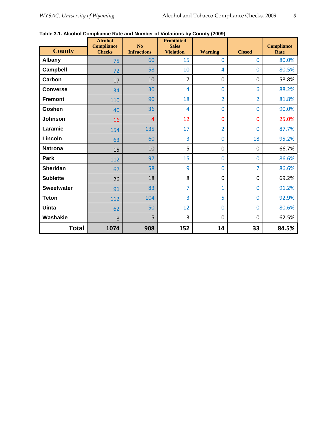|  | Table 3.1. Alcohol Compliance Rate and Number of Violations by County (2009) |  |  |  |  |
|--|------------------------------------------------------------------------------|--|--|--|--|
|--|------------------------------------------------------------------------------|--|--|--|--|

|                   | <b>Alcohol</b><br><b>Compliance</b> | No                 | <b>Prohibited</b><br><b>Sales</b> |                |                | <b>Compliance</b> |
|-------------------|-------------------------------------|--------------------|-----------------------------------|----------------|----------------|-------------------|
| <b>County</b>     | <b>Checks</b>                       | <b>Infractions</b> | <b>Violation</b>                  | <b>Warning</b> | <b>Closed</b>  | Rate              |
| <b>Albany</b>     | 75                                  | 60                 | 15                                | $\mathbf 0$    | 0              | 80.0%             |
| Campbell          | 72                                  | 58                 | 10                                | 4              | 0              | 80.5%             |
| Carbon            | 17                                  | 10                 | 7                                 | 0              | 0              | 58.8%             |
| <b>Converse</b>   | 34                                  | 30                 | $\overline{4}$                    | $\bf{0}$       | 6              | 88.2%             |
| <b>Fremont</b>    | 110                                 | 90                 | 18                                | $\overline{2}$ | $\overline{2}$ | 81.8%             |
| Goshen            | 40                                  | 36                 | 4                                 | $\overline{0}$ | 0              | 90.0%             |
| Johnson           | 16                                  | $\overline{4}$     | 12                                | $\overline{0}$ | 0              | 25.0%             |
| Laramie           | 154                                 | 135                | 17                                | $\overline{2}$ | 0              | 87.7%             |
| Lincoln           | 63                                  | 60                 | 3                                 | $\mathbf{0}$   | 18             | 95.2%             |
| <b>Natrona</b>    | 15                                  | 10                 | 5                                 | $\overline{0}$ | $\overline{0}$ | 66.7%             |
| Park              | 112                                 | 97                 | 15                                | $\bf{0}$       | $\overline{0}$ | 86.6%             |
| <b>Sheridan</b>   | 67                                  | 58                 | 9                                 | $\bf{0}$       | $\overline{7}$ | 86.6%             |
| <b>Sublette</b>   | 26                                  | 18                 | 8                                 | $\mathbf 0$    | 0              | 69.2%             |
| <b>Sweetwater</b> | 91                                  | 83                 | $\overline{7}$                    | $\mathbf{1}$   | $\Omega$       | 91.2%             |
| <b>Teton</b>      | 112                                 | 104                | 3                                 | 5              | 0              | 92.9%             |
| <b>Uinta</b>      | 62                                  | 50                 | 12                                | $\mathbf{0}$   | $\Omega$       | 80.6%             |
| Washakie          | 8                                   | 5                  | 3                                 | $\mathbf 0$    | 0              | 62.5%             |
| <b>Total</b>      | 1074                                | 908                | 152                               | 14             | 33             | 84.5%             |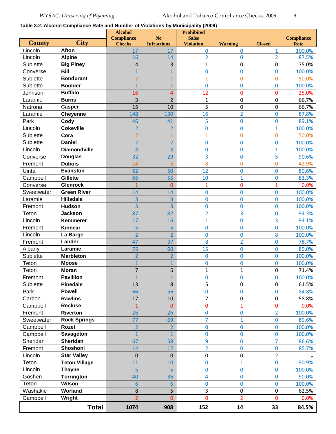**Table 3.2. Alcohol Compliance Rate and Number of Violations by Municipality (2009)**

|               |                      | <b>Alcohol</b>                     |                                      | <b>Prohibited</b>                |                |                |                           |
|---------------|----------------------|------------------------------------|--------------------------------------|----------------------------------|----------------|----------------|---------------------------|
| <b>County</b> | <b>City</b>          | <b>Compliance</b><br><b>Checks</b> | N <sub>o</sub><br><b>Infractions</b> | <b>Sales</b><br><b>Violation</b> | <b>Warning</b> | <b>Closed</b>  | <b>Compliance</b><br>Rate |
| Lincoln       | <b>Afton</b>         | 17                                 | 17                                   | $\mathbf 0$                      | 0              | $\mathbf{1}$   | 100.0%                    |
| Lincoln       | <b>Alpine</b>        | 16                                 | 14                                   | $\overline{2}$                   | 0              | $\overline{2}$ | 87.5%                     |
| Sublette      | <b>Big Piney</b>     | 4                                  | 3                                    | 1                                | 0              | 0              | 75.0%                     |
| Converse      | <b>Bill</b>          | $\mathbf{1}$                       | $\overline{1}$                       | 0                                | $\overline{0}$ | $\overline{0}$ | 100.0%                    |
| Sublette      | <b>Bondurant</b>     | $\overline{2}$                     | $\mathbf{1}$                         | $\mathbf{1}$                     | 0              | 0              | 50.0%                     |
| Sublette      | <b>Boulder</b>       | $\mathbf{1}$                       | $\mathbf{1}$                         | 0                                | 0              | 0              | 100.0%                    |
| Johnson       | <b>Buffalo</b>       | 16                                 | $\overline{4}$                       | 12                               | 0              | 0              | 25.0%                     |
| Laramie       | <b>Burns</b>         | 3                                  | $\overline{2}$                       | 1                                | 0              | 0              | 66.7%                     |
| Natrona       | Casper               | 15                                 | 10                                   | 5                                | 0              | 0              | 66.7%                     |
| Laramie       | <b>Cheyenne</b>      | 148                                | 130                                  | 16                               | $\overline{2}$ | $\mathbf 0$    | 87.8%                     |
| Park          | Cody                 | 46                                 | 41                                   | 5                                | 0              | 0              | 89.1%                     |
| Lincoln       | <b>Cokeville</b>     | $\overline{2}$                     | $\overline{2}$                       | 0                                | 0              | $\mathbf{1}$   | 100.0%                    |
| Sublette      | Cora                 | $\overline{2}$                     | $\mathbf{1}$                         | $\mathbf{1}$                     | $\overline{0}$ | $\overline{0}$ | 50.0%                     |
| Sublette      | <b>Daniel</b>        | $\overline{2}$                     | $\overline{2}$                       | 0                                | 0              | 0              | 100.0%                    |
| Lincoln       | <b>Diamondville</b>  | 4                                  | $\overline{4}$                       | 0                                | 0              | $\mathbf{1}$   | 100.0%                    |
| Converse      | <b>Douglas</b>       | 32                                 | 29                                   | 3                                | 0              | 5              | 90.6%                     |
| Fremont       | <b>Dubois</b>        | 14                                 | $6\phantom{1}6$                      | 8                                | 0              | 0              | 42.9%                     |
| Uinta         | <b>Evanston</b>      | 62                                 | 50                                   | 12                               | 0              | 0              | 80.6%                     |
| Campbell      | <b>Gillette</b>      | 66                                 | 55                                   | 10                               | $\mathbf{1}$   | 0              | 83.3%                     |
| Converse      | <b>Glenrock</b>      | $\mathbf{1}$                       | $\mathbf{0}$                         | $\mathbf{1}$                     | $\overline{0}$ | $\mathbf{1}$   | 0.0%                      |
| Sweetwater    | <b>Green River</b>   | 14                                 | 14                                   | 0                                | 0              | 0              | 100.0%                    |
| Laramie       | <b>Hillsdale</b>     | 3                                  | 3                                    | 0                                | 0              | 0              | 100.0%                    |
| Fremont       | <b>Hudson</b>        | $\overline{3}$                     | $\overline{3}$                       | 0                                | $\overline{0}$ | 0              | 100.0%                    |
| Teton         | <b>Jackson</b>       | 87                                 | 82                                   | $\overline{2}$                   | 3              | 0              | 94.3%                     |
| Lincoln       | Kemmerer             | 17                                 | 16                                   | $\mathbf{1}$                     | 0              | 3              | 94.1%                     |
| Fremont       | <b>Kinnear</b>       | 5                                  | 5                                    | $\overline{0}$                   | $\overline{0}$ | $\overline{0}$ | 100.0%                    |
| Lincoln       | La Barge             | $\overline{2}$                     | $\overline{2}$                       | 0                                | 0              | 8              | 100.0%                    |
| Fremont       | Lander               | 47                                 | 37                                   | 8                                | $\overline{2}$ | 0              | 78.7%                     |
| Albany        | Laramie              | 75                                 | 60                                   | 15                               | $\overline{0}$ | 0              | 80.0%                     |
| Sublette      | <b>Marbleton</b>     | $\overline{2}$                     | $\overline{2}$                       | 0                                | 0              | 0              | 100.0%                    |
| Teton         | <b>Moose</b>         | $\overline{1}$                     | $\mathbf{1}$                         | 0                                | 0              | 0              | 100.0%                    |
| Teton         | Moran                | $\overline{7}$                     | 5                                    | 1                                | 1              | 0              | 71.4%                     |
| Fremont       | <b>Pavillion</b>     |                                    | 1                                    | 0                                | 0              | 0              | 100.0%                    |
| Sublette      | <b>Pinedale</b>      | 13                                 | 8                                    | 5                                | 0              | 0              | 61.5%                     |
| Park          | <b>Powell</b>        | 66                                 | 56                                   | 10                               | 0              | 0              | 84.8%                     |
| Carbon        | <b>Rawlins</b>       | 17                                 | 10                                   | $\overline{7}$                   | 0              | 0              | 58.8%                     |
| Campbell      | <b>Recluse</b>       | 1                                  | 0                                    | 0                                | $\mathbf{1}$   | 0              | 0.0%                      |
| Fremont       | Riverton             | 26                                 | 26                                   | 0                                | $\bf{0}$       | $\overline{2}$ | 100.0%                    |
| Sweetwater    | <b>Rock Springs</b>  | 77                                 | 69                                   | $\overline{7}$                   | $\overline{1}$ | 0              | 89.6%                     |
| Campbell      | Rozet                | $\overline{2}$                     | $\overline{2}$                       | 0                                | $\mathbf 0$    | 0              | 100.0%                    |
| Campbell      | Savageton            | $\mathbf{1}$                       | $\mathbf{1}$                         | 0                                | 0              | 0              | 100.0%                    |
| Sheridan      | Sheridan             | 67                                 | 58                                   | 9                                | 0              | 7              | 86.6%                     |
| Fremont       | Shoshoni             | 14                                 | 12                                   | $\overline{2}$                   | $\mathbf 0$    | 0              | 85.7%                     |
| Lincoln       | <b>Star Valley</b>   | $\mathbf 0$                        | $\boldsymbol{0}$                     | 0                                | 0              | $\overline{2}$ |                           |
| Teton         | <b>Teton Village</b> | 11                                 | 10                                   | 0                                | $\overline{1}$ | 0              | 90.9%                     |
| Lincoln       | <b>Thayne</b>        | 5                                  | 5                                    | 0                                | $\mathbf 0$    | 0              | 100.0%                    |
| Goshen        | <b>Torrington</b>    | 40                                 | 36                                   | 4                                | 0              | 0              | 90.0%                     |
| Teton         | Wilson               | $\overline{6}$                     | $6\phantom{1}$                       | 0                                | $\overline{0}$ | 0              | 100.0%                    |
| Washakie      | Worland              | 8                                  | 5                                    | 3                                | 0              | 0              | 62.5%                     |
| Campbell      | Wright               | $\overline{2}$                     | $\overline{0}$                       | 0                                | $\overline{2}$ | 0              | 0.0%                      |
|               | <b>Total</b>         | 1074                               | 908                                  | 152                              | 14             | 33             | 84.5%                     |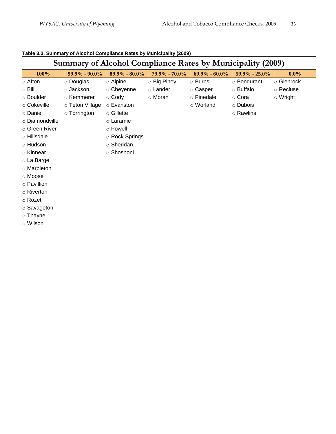| <b>Summary of Alcohol Compliance Rates by Municipality (2009)</b> |                    |                   |               |                   |               |                |  |  |  |
|-------------------------------------------------------------------|--------------------|-------------------|---------------|-------------------|---------------|----------------|--|--|--|
| $100\%$                                                           | $99.9\% - 90.0\%$  | $89.9\% - 80.0\%$ | 79.9% - 70.0% | $69.9\% - 60.0\%$ | 59.9% - 25.0% | $0.0\%$        |  |  |  |
| $\circ$ Afton                                                     | ○ Douglas          | o Alpine          | ○ Big Piney   | $\circ$ Burns     | o Bondurant   | o Glenrock     |  |  |  |
| $\circ$ Bill                                                      | ○ Jackson          | $\circ$ Cheyenne  | ○ Lander      | ○ Casper          | ○ Buffalo     | ○ Recluse      |  |  |  |
| o Boulder                                                         | ○ Kemmerer         | $\circ$ Cody      | ○ Moran       | ○ Pinedale        | ⊙ Cora        | $\circ$ Wright |  |  |  |
| ○ Cokeville                                                       | ○ Teton Village    | o Evanston        |               | o Worland         | ○ Dubois      |                |  |  |  |
| o Daniel                                                          | $\circ$ Torrington | $\circ$ Gillette  |               |                   | ○ Rawlins     |                |  |  |  |
| o Diamondville                                                    |                    | ○ Laramie         |               |                   |               |                |  |  |  |
| ○ Green River                                                     |                    | ○ Powell          |               |                   |               |                |  |  |  |
| o Hillsdale                                                       |                    | ○ Rock Springs    |               |                   |               |                |  |  |  |
| ⊙ Hudson                                                          |                    | ○ Sheridan        |               |                   |               |                |  |  |  |
| ○ Kinnear                                                         |                    | ⊙ Shoshoni        |               |                   |               |                |  |  |  |
| $\circ$ La Barge                                                  |                    |                   |               |                   |               |                |  |  |  |
| o Marbleton                                                       |                    |                   |               |                   |               |                |  |  |  |
| o Moose                                                           |                    |                   |               |                   |               |                |  |  |  |
| ○ Pavillion                                                       |                    |                   |               |                   |               |                |  |  |  |
| ○ Riverton                                                        |                    |                   |               |                   |               |                |  |  |  |
| ⊙ Rozet                                                           |                    |                   |               |                   |               |                |  |  |  |

#### **Table 3.3. Summary of Alcohol Compliance Rates by Municipality (2009)**

o Savageton

o Thayne

o Wilson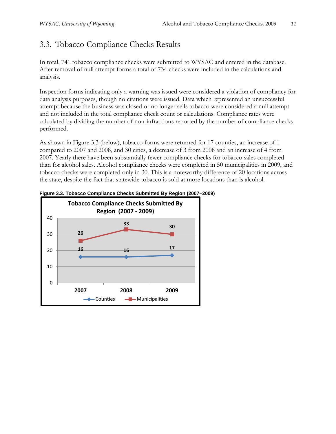## 3.3. Tobacco Compliance Checks Results

In total, 741 tobacco compliance checks were submitted to WYSAC and entered in the database. After removal of null attempt forms a total of 734 checks were included in the calculations and analysis.

Inspection forms indicating only a warning was issued were considered a violation of compliancy for data analysis purposes, though no citations were issued. Data which represented an unsuccessful attempt because the business was closed or no longer sells tobacco were considered a null attempt and not included in the total compliance check count or calculations. Compliance rates were calculated by dividing the number of non-infractions reported by the number of compliance checks performed.

As shown in Figure 3.3 (below), tobacco forms were returned for 17 counties, an increase of 1 compared to 2007 and 2008, and 30 cities, a decrease of 3 from 2008 and an increase of 4 from 2007. Yearly there have been substantially fewer compliance checks for tobacco sales completed than for alcohol sales. Alcohol compliance checks were completed in 50 municipalities in 2009, and tobacco checks were completed only in 30. This is a noteworthy difference of 20 locations across the state, despite the fact that statewide tobacco is sold at more locations than is alcohol.



**Figure 3.3. Tobacco Compliance Checks Submitted By Region (2007–2009)**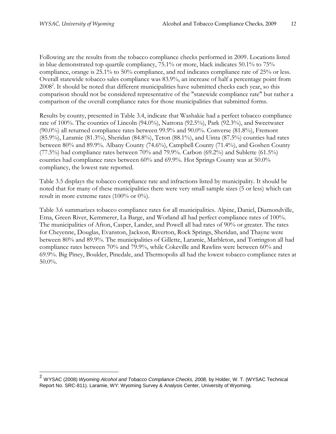$\overline{a}$ 

Following are the results from the tobacco compliance checks performed in 2009. Locations listed in blue demonstrated top quartile compliancy, 75.1% or more, black indicates 50.1% to 75% compliance, orange is 25.1% to 50% compliance, and red indicates compliance rate of 25% or less. Overall statewide tobacco sales compliance was 83.9%, an increase of half a percentage point from 2008<sup>2</sup>. It should be noted that different municipalities have submitted checks each year, so this comparison should not be considered representative of the "statewide compliance rate" but rather a comparison of the overall compliance rates for those municipalities that submitted forms.

Results by county, presented in Table 3.4, indicate that Washakie had a perfect tobacco compliance rate of 100%. The counties of Lincoln (94.0%), Natrona (92.5%), Park (92.3%), and Sweetwater (90.0%) all returned compliance rates between 99.9% and 90.0%. Converse (81.8%), Fremont (85.9%), Laramie (81.3%), Sheridan (84.8%), Teton (88.1%), and Uinta (87.5%) counties had rates between 80% and 89.9%. Albany County (74.6%), Campbell County (71.4%), and Goshen County  $(77.5%)$  had compliance rates between 70% and 79.9%. Carbon  $(69.2%)$  and Sublette  $(61.5%)$ counties had compliance rates between 60% and 69.9%. Hot Springs County was at 50.0% compliancy, the lowest rate reported.

Table 3.5 displays the tobacco compliance rate and infractions listed by municipality. It should be noted that for many of these municipalities there were very small sample sizes (5 or less) which can result in more extreme rates (100% or 0%).

Table 3.6 summarizes tobacco compliance rates for all municipalities. Alpine, Daniel, Diamondville, Etna, Green River, Kemmerer, La Barge, and Worland all had perfect compliance rates of 100%. The municipalities of Afton, Casper, Lander, and Powell all had rates of 90% or greater. The rates for Cheyenne, Douglas, Evanston, Jackson, Riverton, Rock Springs, Sheridan, and Thayne were between 80% and 89.9%. The municipalities of Gillette, Laramie, Marbleton, and Torrington all had compliance rates between 70% and 79.9%, while Cokeville and Rawlins were between 60% and 69.9%. Big Piney, Boulder, Pinedale, and Thermopolis all had the lowest tobacco compliance rates at 50.0%.

<sup>&</sup>lt;sup>2</sup> WYSAC (2008) *Wyoming Alcohol and Tobacco Compliance Checks, 2008, by Holder, W. T. (WYSAC Technical* Report No. SRC-811). Laramie, WY: Wyoming Survey & Analysis Center, University of Wyoming.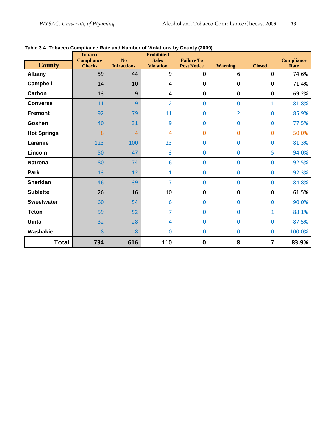|                    | <b>Tobacco</b><br><b>Compliance</b> | N <sub>o</sub>     | <b>Prohibited</b><br><b>Sales</b> | <b>Failure To</b>  |                |               | <b>Compliance</b> |
|--------------------|-------------------------------------|--------------------|-----------------------------------|--------------------|----------------|---------------|-------------------|
| <b>County</b>      | <b>Checks</b>                       | <b>Infractions</b> | <b>Violation</b>                  | <b>Post Notice</b> | <b>Warning</b> | <b>Closed</b> | Rate              |
| Albany             | 59                                  | 44                 | 9                                 | $\mathbf 0$        | 6              | $\mathbf 0$   | 74.6%             |
| Campbell           | 14                                  | 10                 | 4                                 | $\mathbf 0$        | 0              | 0             | 71.4%             |
| Carbon             | 13                                  | 9                  | 4                                 | $\mathbf 0$        | $\mathbf 0$    | $\mathbf 0$   | 69.2%             |
| <b>Converse</b>    | 11                                  | 9                  | $\overline{2}$                    | $\mathbf 0$        | 0              | $\mathbf{1}$  | 81.8%             |
| <b>Fremont</b>     | 92                                  | 79                 | 11                                | $\mathbf 0$        | $\overline{2}$ | $\bf{0}$      | 85.9%             |
| Goshen             | 40                                  | 31                 | 9                                 | $\mathbf 0$        | 0              | $\bf{0}$      | 77.5%             |
| <b>Hot Springs</b> | 8                                   | $\overline{4}$     | 4                                 | $\mathbf{0}$       | 0              | 0             | 50.0%             |
| Laramie            | 123                                 | 100                | 23                                | $\mathbf{0}$       | 0              | $\bf{0}$      | 81.3%             |
| Lincoln            | 50                                  | 47                 | $\overline{3}$                    | $\mathbf 0$        | 0              | 5             | 94.0%             |
| <b>Natrona</b>     | 80                                  | 74                 | 6                                 | $\mathbf 0$        | $\mathbf 0$    | $\mathbf 0$   | 92.5%             |
| Park               | 13                                  | 12                 | $\mathbf{1}$                      | $\overline{0}$     | 0              | $\mathbf 0$   | 92.3%             |
| <b>Sheridan</b>    | 46                                  | 39                 | $\overline{7}$                    | $\mathbf 0$        | $\bf{0}$       | $\bf{0}$      | 84.8%             |
| <b>Sublette</b>    | 26                                  | 16                 | 10                                | $\mathbf 0$        | $\mathbf 0$    | $\mathbf 0$   | 61.5%             |
| <b>Sweetwater</b>  | 60                                  | 54                 | 6                                 | $\mathbf 0$        | 0              | $\mathbf 0$   | 90.0%             |
| <b>Teton</b>       | 59                                  | 52                 | 7                                 | $\mathbf 0$        | 0              | $\mathbf{1}$  | 88.1%             |
| <b>Uinta</b>       | 32                                  | 28                 | 4                                 | $\overline{0}$     | 0              | $\bf{0}$      | 87.5%             |
| Washakie           | 8                                   | 8                  | $\mathbf 0$                       | $\mathbf 0$        | $\mathbf 0$    | $\bf{0}$      | 100.0%            |
| <b>Total</b>       | 734                                 | 616                | 110                               | $\mathbf 0$        | 8              | 7             | 83.9%             |

#### **Table 3.4. Tobacco Compliance Rate and Number of Violations by County (2009)**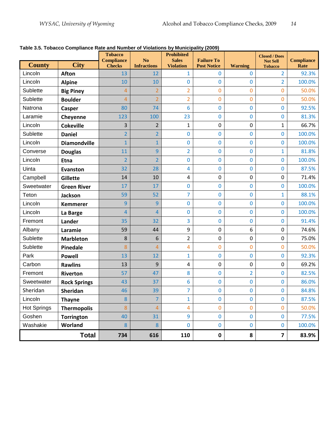| <b>County</b>      | <b>City</b>         | <b>Tobacco</b><br><b>Compliance</b> | N <sub>o</sub>           | <b>Prohibited</b><br><b>Sales</b> | <b>Failure To</b>       |                                | <b>Closed / Does</b><br><b>Not Sell</b> | <b>Compliance</b> |
|--------------------|---------------------|-------------------------------------|--------------------------|-----------------------------------|-------------------------|--------------------------------|-----------------------------------------|-------------------|
| Lincoln            | <b>Afton</b>        | <b>Checks</b><br>13                 | <b>Infractions</b><br>12 | <b>Violation</b><br>$\mathbf{1}$  | <b>Post Notice</b><br>0 | <b>Warning</b><br>$\mathbf{0}$ | <b>Tobacco</b><br>$\overline{2}$        | Rate<br>92.3%     |
| Lincoln            | <b>Alpine</b>       | 10                                  | 10                       | 0                                 | 0                       | $\bf{0}$                       | $\overline{2}$                          | 100.0%            |
| Sublette           | <b>Big Piney</b>    | $\overline{4}$                      | $\overline{2}$           | $\overline{2}$                    | $\mathbf 0$             | $\mathbf{0}$                   | $\mathbf 0$                             | 50.0%             |
| Sublette           | <b>Boulder</b>      | $\overline{4}$                      | $\overline{2}$           | $\overline{2}$                    | $\overline{0}$          | $\mathbf 0$                    | 0                                       | 50.0%             |
| Natrona            | <b>Casper</b>       | 80                                  | 74                       | 6                                 | 0                       | $\bf{0}$                       | $\bf{0}$                                | 92.5%             |
| Laramie            | Cheyenne            | 123                                 | 100                      | 23                                | $\bf{0}$                | $\bf{0}$                       | $\bf{0}$                                | 81.3%             |
| Lincoln            | <b>Cokeville</b>    | 3                                   | $\overline{2}$           | $\mathbf{1}$                      | 0                       | 0                              | 1                                       | 66.7%             |
| Sublette           | <b>Daniel</b>       | $\overline{2}$                      | $\overline{2}$           | 0                                 | 0                       | $\bf{0}$                       | 0                                       | 100.0%            |
| Lincoln            | <b>Diamondville</b> | $\mathbf{1}$                        | $\mathbf{1}$             | 0                                 | 0                       | $\bf{0}$                       | $\bf{0}$                                | 100.0%            |
| Converse           | <b>Douglas</b>      | 11                                  | 9                        | $\overline{2}$                    | 0                       | $\bf{0}$                       | 1                                       | 81.8%             |
| Lincoln            | <b>Etna</b>         | $\overline{2}$                      | $\overline{2}$           | $\mathbf 0$                       | 0                       | $\bf{0}$                       | 0                                       | 100.0%            |
| Uinta              | <b>Evanston</b>     | 32                                  | 28                       | 4                                 | 0                       | $\bf{0}$                       | $\bf{0}$                                | 87.5%             |
| Campbell           | Gillette            | 14                                  | 10                       | 4                                 | 0                       | $\boldsymbol{0}$               | $\pmb{0}$                               | 71.4%             |
| Sweetwater         | <b>Green River</b>  | 17                                  | 17                       | 0                                 | 0                       | 0                              | 0                                       | 100.0%            |
| Teton              | <b>Jackson</b>      | 59                                  | 52                       | 7                                 | 0                       | $\overline{0}$                 | 1                                       | 88.1%             |
| Lincoln            | <b>Kemmerer</b>     | 9                                   | 9                        | 0                                 | 0                       | $\bf{0}$                       | $\bf{0}$                                | 100.0%            |
| Lincoln            | La Barge            | $\overline{4}$                      | 4                        | 0                                 | 0                       | $\mathbf 0$                    | 0                                       | 100.0%            |
| Fremont            | Lander              | 35                                  | 32                       | 3                                 | 0                       | $\bf{0}$                       | 0                                       | 91.4%             |
| Albany             | Laramie             | 59                                  | 44                       | 9                                 | 0                       | 6                              | $\pmb{0}$                               | 74.6%             |
| Sublette           | <b>Marbleton</b>    | 8                                   | 6                        | $\overline{2}$                    | 0                       | $\mathbf 0$                    | 0                                       | 75.0%             |
| Sublette           | <b>Pinedale</b>     | 8                                   | 4                        | 4                                 | 0                       | $\mathbf 0$                    | 0                                       | 50.0%             |
| Park               | <b>Powell</b>       | 13                                  | 12                       | $\mathbf{1}$                      | 0                       | $\overline{0}$                 | $\bf{0}$                                | 92.3%             |
| Carbon             | <b>Rawlins</b>      | 13                                  | 9                        | 4                                 | 0                       | 0                              | 0                                       | 69.2%             |
| Fremont            | <b>Riverton</b>     | 57                                  | 47                       | 8                                 | 0                       | $\overline{2}$                 | 0                                       | 82.5%             |
| Sweetwater         | <b>Rock Springs</b> | 43                                  | 37                       | 6                                 | 0                       | $\bf{0}$                       | $\bf{0}$                                | 86.0%             |
| Sheridan           | Sheridan            | 46                                  | 39                       | $\overline{7}$                    | 0                       | $\bf{0}$                       | $\bf{0}$                                | 84.8%             |
| Lincoln            | <b>Thayne</b>       | 8                                   | $\overline{7}$           | 1                                 | $\pmb{0}$               | $\mathbf 0$                    | 0                                       | 87.5%             |
| <b>Hot Springs</b> | <b>Thermopolis</b>  | 8                                   | 4                        | 4                                 | 0                       | $\overline{0}$                 | 0                                       | 50.0%             |
| Goshen             | <b>Torrington</b>   | 40                                  | 31                       | 9                                 | $\mathbf 0$             | $\pmb{0}$                      | $\mathbf 0$                             | 77.5%             |
| Washakie           | Worland             | $\boldsymbol{8}$                    | 8                        | 0                                 | $\mathbf 0$             | $\pmb{0}$                      | $\bf{0}$                                | 100.0%            |
|                    | <b>Total</b>        | 734                                 | 616                      | 110                               | $\pmb{0}$               | 8                              | $\overline{\mathbf{z}}$                 | 83.9%             |

**Table 3.5. Tobacco Compliance Rate and Number of Violations by Municipality (2009)**